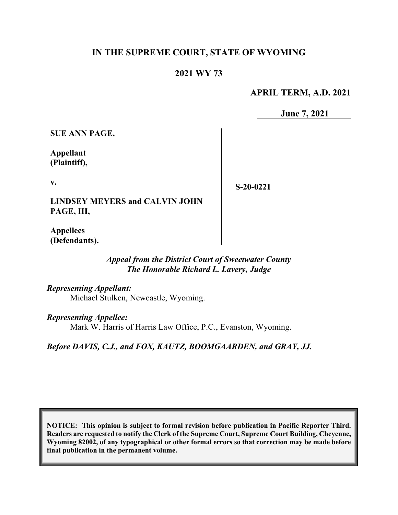# **IN THE SUPREME COURT, STATE OF WYOMING**

### **2021 WY 73**

**APRIL TERM, A.D. 2021**

**June 7, 2021**

**SUE ANN PAGE,**

**Appellant (Plaintiff),**

**v.**

**S-20-0221**

**LINDSEY MEYERS and CALVIN JOHN PAGE, III,** 

**Appellees (Defendants).**

> *Appeal from the District Court of Sweetwater County The Honorable Richard L. Lavery, Judge*

*Representing Appellant:* Michael Stulken, Newcastle, Wyoming.

*Representing Appellee:* Mark W. Harris of Harris Law Office, P.C., Evanston, Wyoming.

*Before DAVIS, C.J., and FOX, KAUTZ, BOOMGAARDEN, and GRAY, JJ.*

**NOTICE: This opinion is subject to formal revision before publication in Pacific Reporter Third. Readers are requested to notify the Clerk of the Supreme Court, Supreme Court Building, Cheyenne, Wyoming 82002, of any typographical or other formal errors so that correction may be made before final publication in the permanent volume.**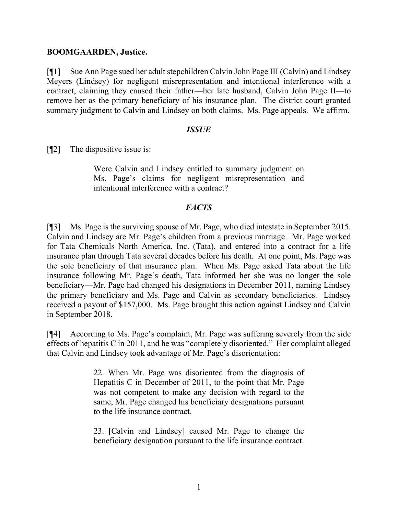### **BOOMGAARDEN, Justice.**

[¶1] Sue Ann Page sued her adult stepchildren Calvin John Page III (Calvin) and Lindsey Meyers (Lindsey) for negligent misrepresentation and intentional interference with a contract, claiming they caused their father—her late husband, Calvin John Page II—to remove her as the primary beneficiary of his insurance plan. The district court granted summary judgment to Calvin and Lindsey on both claims. Ms. Page appeals. We affirm.

### *ISSUE*

[¶2] The dispositive issue is:

Were Calvin and Lindsey entitled to summary judgment on Ms. Page's claims for negligent misrepresentation and intentional interference with a contract?

### *FACTS*

[¶3] Ms. Page is the surviving spouse of Mr. Page, who died intestate in September 2015. Calvin and Lindsey are Mr. Page's children from a previous marriage. Mr. Page worked for Tata Chemicals North America, Inc. (Tata), and entered into a contract for a life insurance plan through Tata several decades before his death. At one point, Ms. Page was the sole beneficiary of that insurance plan. When Ms. Page asked Tata about the life insurance following Mr. Page's death, Tata informed her she was no longer the sole beneficiary—Mr. Page had changed his designations in December 2011, naming Lindsey the primary beneficiary and Ms. Page and Calvin as secondary beneficiaries. Lindsey received a payout of \$157,000. Ms. Page brought this action against Lindsey and Calvin in September 2018.

[¶4] According to Ms. Page's complaint, Mr. Page was suffering severely from the side effects of hepatitis C in 2011, and he was "completely disoriented." Her complaint alleged that Calvin and Lindsey took advantage of Mr. Page's disorientation:

> 22. When Mr. Page was disoriented from the diagnosis of Hepatitis C in December of 2011, to the point that Mr. Page was not competent to make any decision with regard to the same, Mr. Page changed his beneficiary designations pursuant to the life insurance contract.

> 23. [Calvin and Lindsey] caused Mr. Page to change the beneficiary designation pursuant to the life insurance contract.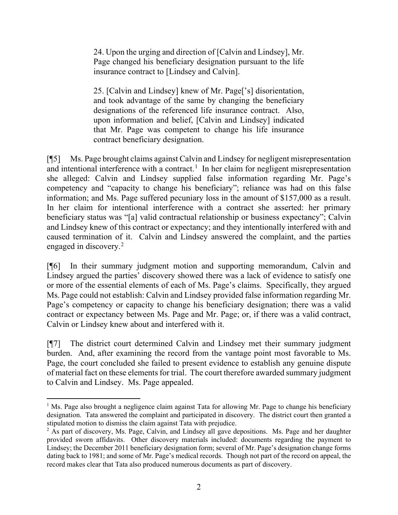24. Upon the urging and direction of [Calvin and Lindsey], Mr. Page changed his beneficiary designation pursuant to the life insurance contract to [Lindsey and Calvin].

25. [Calvin and Lindsey] knew of Mr. Page['s] disorientation, and took advantage of the same by changing the beneficiary designations of the referenced life insurance contract. Also, upon information and belief, [Calvin and Lindsey] indicated that Mr. Page was competent to change his life insurance contract beneficiary designation.

[¶5] Ms. Page brought claims against Calvin and Lindsey for negligent misrepresentation and intentional interference with a contract.<sup>[1](#page-2-0)</sup> In her claim for negligent misrepresentation she alleged: Calvin and Lindsey supplied false information regarding Mr. Page's competency and "capacity to change his beneficiary"; reliance was had on this false information; and Ms. Page suffered pecuniary loss in the amount of \$157,000 as a result. In her claim for intentional interference with a contract she asserted: her primary beneficiary status was "[a] valid contractual relationship or business expectancy"; Calvin and Lindsey knew of this contract or expectancy; and they intentionally interfered with and caused termination of it. Calvin and Lindsey answered the complaint, and the parties engaged in discovery.<sup>[2](#page-2-1)</sup>

[¶6] In their summary judgment motion and supporting memorandum, Calvin and Lindsey argued the parties' discovery showed there was a lack of evidence to satisfy one or more of the essential elements of each of Ms. Page's claims. Specifically, they argued Ms. Page could not establish: Calvin and Lindsey provided false information regarding Mr. Page's competency or capacity to change his beneficiary designation; there was a valid contract or expectancy between Ms. Page and Mr. Page; or, if there was a valid contract, Calvin or Lindsey knew about and interfered with it.

[¶7] The district court determined Calvin and Lindsey met their summary judgment burden. And, after examining the record from the vantage point most favorable to Ms. Page, the court concluded she failed to present evidence to establish any genuine dispute of material fact on these elements for trial. The court therefore awarded summary judgment to Calvin and Lindsey. Ms. Page appealed.

<span id="page-2-0"></span><sup>&</sup>lt;sup>1</sup> Ms. Page also brought a negligence claim against Tata for allowing Mr. Page to change his beneficiary designation. Tata answered the complaint and participated in discovery. The district court then granted a stipulated motion to dismiss the claim against Tata with prejudice.

<span id="page-2-1"></span><sup>&</sup>lt;sup>2</sup> As part of discovery, Ms. Page, Calvin, and Lindsey all gave depositions. Ms. Page and her daughter provided sworn affidavits. Other discovery materials included: documents regarding the payment to Lindsey; the December 2011 beneficiary designation form; several of Mr. Page's designation change forms dating back to 1981; and some of Mr. Page's medical records. Though not part of the record on appeal, the record makes clear that Tata also produced numerous documents as part of discovery.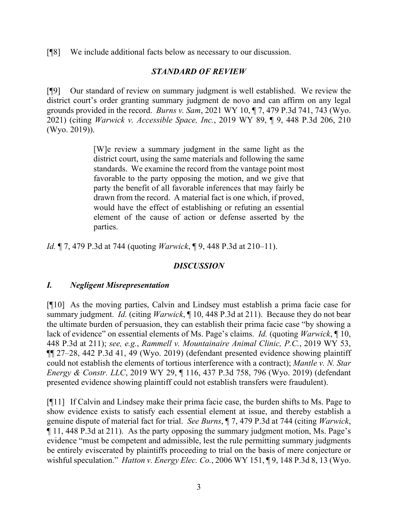[¶8] We include additional facts below as necessary to our discussion.

# *STANDARD OF REVIEW*

[¶9] Our standard of review on summary judgment is well established. We review the district court's order granting summary judgment de novo and can affirm on any legal grounds provided in the record. *Burns v. Sam*, 2021 WY 10, ¶ 7, 479 P.3d 741, 743 (Wyo. 2021) (citing *Warwick v. Accessible Space, Inc.*, 2019 WY 89, ¶ 9, 448 P.3d 206, 210 (Wyo. 2019)).

> [W]e review a summary judgment in the same light as the district court, using the same materials and following the same standards. We examine the record from the vantage point most favorable to the party opposing the motion, and we give that party the benefit of all favorable inferences that may fairly be drawn from the record. A material fact is one which, if proved, would have the effect of establishing or refuting an essential element of the cause of action or defense asserted by the parties.

*Id.* ¶ 7, 479 P.3d at 744 (quoting *Warwick*, ¶ 9, 448 P.3d at 210–11).

# *DISCUSSION*

### *I. Negligent Misrepresentation*

[¶10] As the moving parties, Calvin and Lindsey must establish a prima facie case for summary judgment. *Id.* (citing *Warwick*, ¶ 10, 448 P.3d at 211). Because they do not bear the ultimate burden of persuasion, they can establish their prima facie case "by showing a lack of evidence" on essential elements of Ms. Page's claims. *Id.* (quoting *Warwick*, ¶ 10, 448 P.3d at 211); *see, e.g.*, *Rammell v. Mountainaire Animal Clinic, P.C.*, 2019 WY 53, ¶¶ 27–28, 442 P.3d 41, 49 (Wyo. 2019) (defendant presented evidence showing plaintiff could not establish the elements of tortious interference with a contract); *Mantle v. N. Star Energy & Constr. LLC*, 2019 WY 29, ¶ 116, 437 P.3d 758, 796 (Wyo. 2019) (defendant presented evidence showing plaintiff could not establish transfers were fraudulent).

[¶11] If Calvin and Lindsey make their prima facie case, the burden shifts to Ms. Page to show evidence exists to satisfy each essential element at issue, and thereby establish a genuine dispute of material fact for trial. *See Burns*, ¶ 7, 479 P.3d at 744 (citing *Warwick*, ¶ 11, 448 P.3d at 211). As the party opposing the summary judgment motion, Ms. Page's evidence "must be competent and admissible, lest the rule permitting summary judgments be entirely eviscerated by plaintiffs proceeding to trial on the basis of mere conjecture or wishful speculation." *Hatton v. Energy Elec. Co.*, 2006 WY 151, ¶ 9, 148 P.3d 8, 13 (Wyo.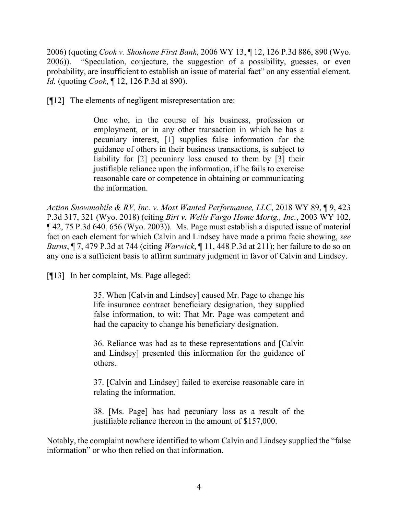2006) (quoting *Cook v. Shoshone First Bank*, 2006 WY 13, ¶ 12, 126 P.3d 886, 890 (Wyo. 2006)). "Speculation, conjecture, the suggestion of a possibility, guesses, or even probability, are insufficient to establish an issue of material fact" on any essential element. *Id.* (quoting *Cook*, ¶ 12, 126 P.3d at 890).

[¶12] The elements of negligent misrepresentation are:

One who, in the course of his business, profession or employment, or in any other transaction in which he has a pecuniary interest, [1] supplies false information for the guidance of others in their business transactions, is subject to liability for [2] pecuniary loss caused to them by [3] their justifiable reliance upon the information, if he fails to exercise reasonable care or competence in obtaining or communicating the information.

*Action Snowmobile & RV, Inc. v. Most Wanted Performance, LLC*, 2018 WY 89, ¶ 9, 423 P.3d 317, 321 (Wyo. 2018) (citing *Birt v. Wells Fargo Home Mortg., Inc.*, 2003 WY 102, ¶ 42, 75 P.3d 640, 656 (Wyo. 2003)). Ms. Page must establish a disputed issue of material fact on each element for which Calvin and Lindsey have made a prima facie showing, *see Burns*, ¶ 7, 479 P.3d at 744 (citing *Warwick*, ¶ 11, 448 P.3d at 211); her failure to do so on any one is a sufficient basis to affirm summary judgment in favor of Calvin and Lindsey.

[¶13] In her complaint, Ms. Page alleged:

35. When [Calvin and Lindsey] caused Mr. Page to change his life insurance contract beneficiary designation, they supplied false information, to wit: That Mr. Page was competent and had the capacity to change his beneficiary designation.

36. Reliance was had as to these representations and [Calvin and Lindsey] presented this information for the guidance of others.

37. [Calvin and Lindsey] failed to exercise reasonable care in relating the information.

38. [Ms. Page] has had pecuniary loss as a result of the justifiable reliance thereon in the amount of \$157,000.

Notably, the complaint nowhere identified to whom Calvin and Lindsey supplied the "false information" or who then relied on that information.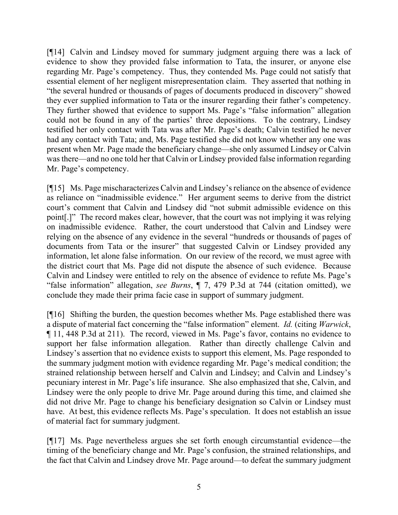[¶14] Calvin and Lindsey moved for summary judgment arguing there was a lack of evidence to show they provided false information to Tata, the insurer, or anyone else regarding Mr. Page's competency. Thus, they contended Ms. Page could not satisfy that essential element of her negligent misrepresentation claim. They asserted that nothing in "the several hundred or thousands of pages of documents produced in discovery" showed they ever supplied information to Tata or the insurer regarding their father's competency. They further showed that evidence to support Ms. Page's "false information" allegation could not be found in any of the parties' three depositions. To the contrary, Lindsey testified her only contact with Tata was after Mr. Page's death; Calvin testified he never had any contact with Tata; and, Ms. Page testified she did not know whether any one was present when Mr. Page made the beneficiary change—she only assumed Lindsey or Calvin was there—and no one told her that Calvin or Lindsey provided false information regarding Mr. Page's competency.

[¶15] Ms. Page mischaracterizes Calvin and Lindsey's reliance on the absence of evidence as reliance on "inadmissible evidence." Her argument seems to derive from the district court's comment that Calvin and Lindsey did "not submit admissible evidence on this point[.]" The record makes clear, however, that the court was not implying it was relying on inadmissible evidence. Rather, the court understood that Calvin and Lindsey were relying on the absence of any evidence in the several "hundreds or thousands of pages of documents from Tata or the insurer" that suggested Calvin or Lindsey provided any information, let alone false information. On our review of the record, we must agree with the district court that Ms. Page did not dispute the absence of such evidence. Because Calvin and Lindsey were entitled to rely on the absence of evidence to refute Ms. Page's "false information" allegation, *see Burns*, ¶ 7, 479 P.3d at 744 (citation omitted), we conclude they made their prima facie case in support of summary judgment.

[¶16] Shifting the burden, the question becomes whether Ms. Page established there was a dispute of material fact concerning the "false information" element. *Id.* (citing *Warwick*, ¶ 11, 448 P.3d at 211). The record, viewed in Ms. Page's favor, contains no evidence to support her false information allegation. Rather than directly challenge Calvin and Lindsey's assertion that no evidence exists to support this element, Ms. Page responded to the summary judgment motion with evidence regarding Mr. Page's medical condition; the strained relationship between herself and Calvin and Lindsey; and Calvin and Lindsey's pecuniary interest in Mr. Page's life insurance. She also emphasized that she, Calvin, and Lindsey were the only people to drive Mr. Page around during this time, and claimed she did not drive Mr. Page to change his beneficiary designation so Calvin or Lindsey must have. At best, this evidence reflects Ms. Page's speculation. It does not establish an issue of material fact for summary judgment.

[¶17] Ms. Page nevertheless argues she set forth enough circumstantial evidence—the timing of the beneficiary change and Mr. Page's confusion, the strained relationships, and the fact that Calvin and Lindsey drove Mr. Page around—to defeat the summary judgment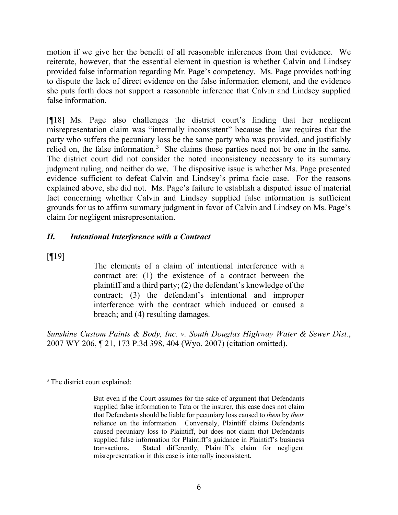motion if we give her the benefit of all reasonable inferences from that evidence. We reiterate, however, that the essential element in question is whether Calvin and Lindsey provided false information regarding Mr. Page's competency. Ms. Page provides nothing to dispute the lack of direct evidence on the false information element, and the evidence she puts forth does not support a reasonable inference that Calvin and Lindsey supplied false information.

[¶18] Ms. Page also challenges the district court's finding that her negligent misrepresentation claim was "internally inconsistent" because the law requires that the party who suffers the pecuniary loss be the same party who was provided, and justifiably relied on, the false information.<sup>[3](#page-6-0)</sup> She claims those parties need not be one in the same. The district court did not consider the noted inconsistency necessary to its summary judgment ruling, and neither do we. The dispositive issue is whether Ms. Page presented evidence sufficient to defeat Calvin and Lindsey's prima facie case. For the reasons explained above, she did not. Ms. Page's failure to establish a disputed issue of material fact concerning whether Calvin and Lindsey supplied false information is sufficient grounds for us to affirm summary judgment in favor of Calvin and Lindsey on Ms. Page's claim for negligent misrepresentation.

## *II. Intentional Interference with a Contract*

 $[9]$ 

The elements of a claim of intentional interference with a contract are: (1) the existence of a contract between the plaintiff and a third party; (2) the defendant's knowledge of the contract; (3) the defendant's intentional and improper interference with the contract which induced or caused a breach; and (4) resulting damages.

*Sunshine Custom Paints & Body, Inc. v. South Douglas Highway Water & Sewer Dist.*, 2007 WY 206, ¶ 21, 173 P.3d 398, 404 (Wyo. 2007) (citation omitted).

<span id="page-6-0"></span><sup>&</sup>lt;sup>3</sup> The district court explained:

But even if the Court assumes for the sake of argument that Defendants supplied false information to Tata or the insurer, this case does not claim that Defendants should be liable for pecuniary loss caused to *them* by *their* reliance on the information. Conversely, Plaintiff claims Defendants caused pecuniary loss to Plaintiff, but does not claim that Defendants supplied false information for Plaintiff's guidance in Plaintiff's business transactions. Stated differently, Plaintiff's claim for negligent misrepresentation in this case is internally inconsistent.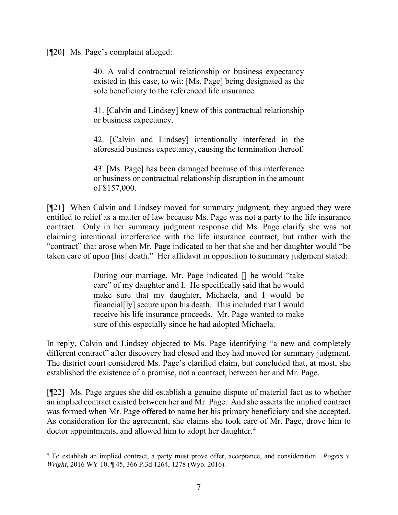[¶20] Ms. Page's complaint alleged:

40. A valid contractual relationship or business expectancy existed in this case, to wit: [Ms. Page] being designated as the sole beneficiary to the referenced life insurance.

41. [Calvin and Lindsey] knew of this contractual relationship or business expectancy.

42. [Calvin and Lindsey] intentionally interfered in the aforesaid business expectancy, causing the termination thereof.

43. [Ms. Page] has been damaged because of this interference or business or contractual relationship disruption in the amount of \$157,000.

[¶21] When Calvin and Lindsey moved for summary judgment, they argued they were entitled to relief as a matter of law because Ms. Page was not a party to the life insurance contract. Only in her summary judgment response did Ms. Page clarify she was not claiming intentional interference with the life insurance contract, but rather with the "contract" that arose when Mr. Page indicated to her that she and her daughter would "be taken care of upon [his] death." Her affidavit in opposition to summary judgment stated:

> During our marriage, Mr. Page indicated [] he would "take care" of my daughter and I. He specifically said that he would make sure that my daughter, Michaela, and I would be financial[ly] secure upon his death. This included that I would receive his life insurance proceeds. Mr. Page wanted to make sure of this especially since he had adopted Michaela.

In reply, Calvin and Lindsey objected to Ms. Page identifying "a new and completely different contract" after discovery had closed and they had moved for summary judgment. The district court considered Ms. Page's clarified claim, but concluded that, at most, she established the existence of a promise, not a contract, between her and Mr. Page.

[¶22] Ms. Page argues she did establish a genuine dispute of material fact as to whether an implied contract existed between her and Mr. Page. And she asserts the implied contract was formed when Mr. Page offered to name her his primary beneficiary and she accepted. As consideration for the agreement, she claims she took care of Mr. Page, drove him to doctor appointments, and allowed him to adopt her daughter.<sup>[4](#page-7-0)</sup>

<span id="page-7-0"></span><sup>4</sup> To establish an implied contract, a party must prove offer, acceptance, and consideration. *Rogers v. Wright*, 2016 WY 10, ¶ 45, 366 P.3d 1264, 1278 (Wyo. 2016).